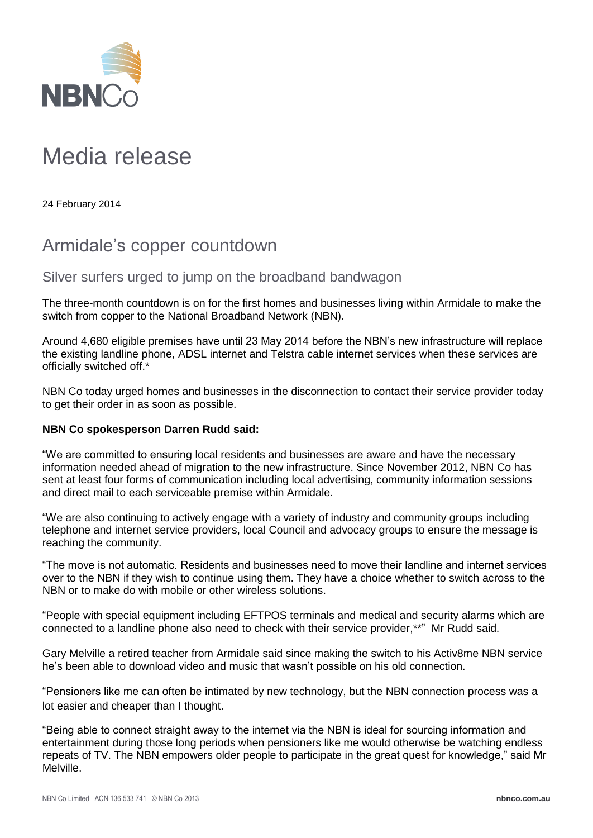

## Media release

24 February 2014

## Armidale's copper countdown

Silver surfers urged to jump on the broadband bandwagon

The three-month countdown is on for the first homes and businesses living within Armidale to make the switch from copper to the National Broadband Network (NBN).

Around 4,680 eligible premises have until 23 May 2014 before the NBN's new infrastructure will replace the existing landline phone, ADSL internet and Telstra cable internet services when these services are officially switched off.\*

NBN Co today urged homes and businesses in the disconnection to contact their service provider today to get their order in as soon as possible.

## **NBN Co spokesperson Darren Rudd said:**

"We are committed to ensuring local residents and businesses are aware and have the necessary information needed ahead of migration to the new infrastructure. Since November 2012, NBN Co has sent at least four forms of communication including local advertising, community information sessions and direct mail to each serviceable premise within Armidale.

"We are also continuing to actively engage with a variety of industry and community groups including telephone and internet service providers, local Council and advocacy groups to ensure the message is reaching the community.

"The move is not automatic. Residents and businesses need to move their landline and internet services over to the NBN if they wish to continue using them. They have a choice whether to switch across to the NBN or to make do with mobile or other wireless solutions.

"People with special equipment including EFTPOS terminals and medical and security alarms which are connected to a landline phone also need to check with their service provider,\*\*" Mr Rudd said.

Gary Melville a retired teacher from Armidale said since making the switch to his Activ8me NBN service he's been able to download video and music that wasn't possible on his old connection.

"Pensioners like me can often be intimated by new technology, but the NBN connection process was a lot easier and cheaper than I thought.

"Being able to connect straight away to the internet via the NBN is ideal for sourcing information and entertainment during those long periods when pensioners like me would otherwise be watching endless repeats of TV. The NBN empowers older people to participate in the great quest for knowledge," said Mr Melville.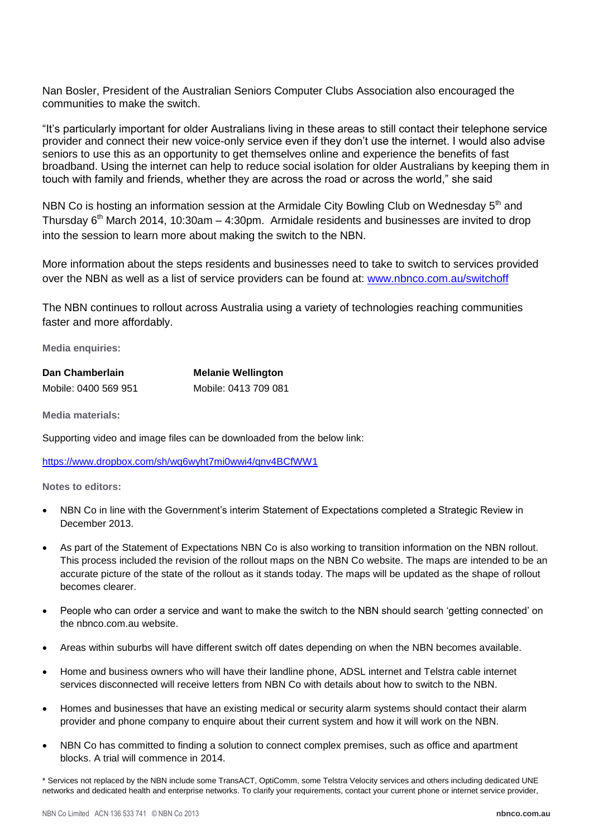Nan Bosler, President of the Australian Seniors Computer Clubs Association also encouraged the communities to make the switch.

"It's particularly important for older Australians living in these areas to still contact their telephone service provider and connect their new voice-only service even if they don't use the internet. I would also advise seniors to use this as an opportunity to get themselves online and experience the benefits of fast broadband. Using the internet can help to reduce social isolation for older Australians by keeping them in touch with family and friends, whether they are across the road or across the world," she said

NBN Co is hosting an information session at the Armidale City Bowling Club on Wednesday  $5<sup>th</sup>$  and Thursday  $6<sup>th</sup>$  March 2014, 10:30am – 4:30pm. Armidale residents and businesses are invited to drop into the session to learn more about making the switch to the NBN.

More information about the steps residents and businesses need to take to switch to services provided over the NBN as well as a list of service providers can be found at: [www.nbnco.com.au/switchoff](http://www.nbnco.com.au/switchoff)

The NBN continues to rollout across Australia using a variety of technologies reaching communities faster and more affordably.

**Media enquiries:**

| Dan Chamberlain      | <b>Melanie Wellington</b> |
|----------------------|---------------------------|
| Mobile: 0400 569 951 | Mobile: 0413 709 081      |

**Media materials:**

Supporting video and image files can be downloaded from the below link:

<https://www.dropbox.com/sh/wq6wyht7mi0wwi4/qnv4BCfWW1>

**Notes to editors:**

- NBN Co in line with the Government's interim Statement of Expectations completed a Strategic Review in December 2013.
- As part of the Statement of Expectations NBN Co is also working to transition information on the NBN rollout. This process included the revision of the rollout maps on the NBN Co website. The maps are intended to be an accurate picture of the state of the rollout as it stands today. The maps will be updated as the shape of rollout becomes clearer.
- People who can order a service and want to make the switch to the NBN should search 'getting connected' on the nbnco.com.au website.
- Areas within suburbs will have different switch off dates depending on when the NBN becomes available.
- Home and business owners who will have their landline phone, ADSL internet and Telstra cable internet services disconnected will receive letters from NBN Co with details about how to switch to the NBN.
- Homes and businesses that have an existing medical or security alarm systems should contact their alarm provider and phone company to enquire about their current system and how it will work on the NBN.
- NBN Co has committed to finding a solution to connect complex premises, such as office and apartment blocks. A trial will commence in 2014.

\* Services not replaced by the NBN include some TransACT, OptiComm, some Telstra Velocity services and others including dedicated UNE networks and dedicated health and enterprise networks. To clarify your requirements, contact your current phone or internet service provider,